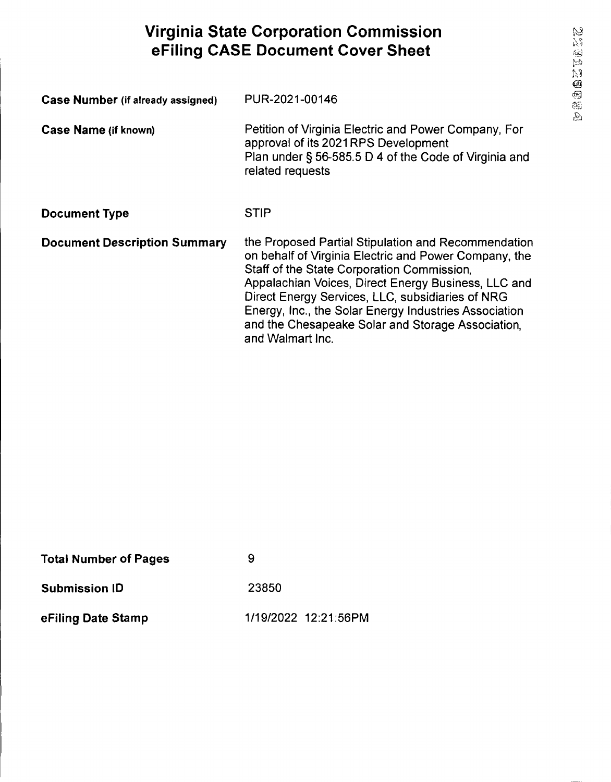# **Virginia State Corporation Commission eFiling CASE Document Cover Sheet**

| <b>Case Number (if already assigned)</b> | PUR-2021-00146                                                                                                                                                                                                                                                                                                                                                                                          |
|------------------------------------------|---------------------------------------------------------------------------------------------------------------------------------------------------------------------------------------------------------------------------------------------------------------------------------------------------------------------------------------------------------------------------------------------------------|
| Case Name (if known)                     | Petition of Virginia Electric and Power Company, For<br>approval of its 2021RPS Development<br>Plan under § 56-585.5 D 4 of the Code of Virginia and<br>related requests                                                                                                                                                                                                                                |
| <b>Document Type</b>                     | <b>STIP</b>                                                                                                                                                                                                                                                                                                                                                                                             |
| <b>Document Description Summary</b>      | the Proposed Partial Stipulation and Recommendation<br>on behalf of Virginia Electric and Power Company, the<br>Staff of the State Corporation Commission,<br>Appalachian Voices, Direct Energy Business, LLC and<br>Direct Energy Services, LLC, subsidiaries of NRG<br>Energy, Inc., the Solar Energy Industries Association<br>and the Chesapeake Solar and Storage Association,<br>and Walmart Inc. |

| <b>Total Number of Pages</b> | 9                    |
|------------------------------|----------------------|
| <b>Submission ID</b>         | 23850                |
| eFiling Date Stamp           | 1/19/2022 12:21:56PM |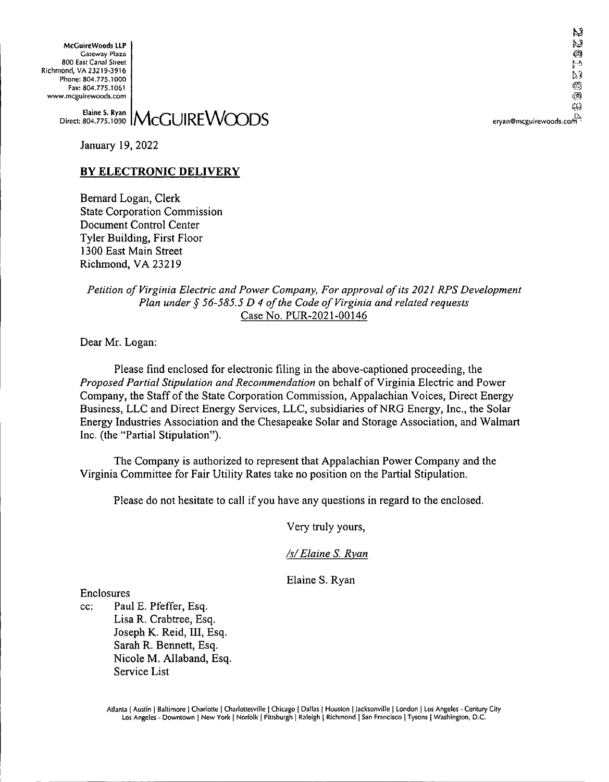**McGuireWoods LLP** Gateway Plaza 800 East Canal Street Richmond, VA 23219-3916 Phone: 804.775.1000 Fax: 804.775.1061 www.mcguirewoods.com

k.S hJ. Ø آهيم Ĺβ ĆΩ

McGUIREWOODS eryan®mcguirewoods.corir>! **Elaine 5. Ryan** Direct 804.775.1090

January 19, 2022

# **BY ELECTRONIC DELIVERY**

Bernard Logan, Clerk State Corporation Commission Document Control Center Tyler Building, First Floor 1300 East Main Street Richmond, VA 23219

## *Petition ofVirginia Electric and Power Company, For approval ofits 2021 RPS Development Plan under § 56-585.5 D 4 ofthe Code of Virginia and related requests* Case No. PUR-2021-00146

Dear Mr. Logan:

Please find enclosed for electronic filing in the above-captioned proceeding, the *Proposed Partial Stipulation and Recommendation* on behalfofVirginia Electric and Power Company, the Staff of the State Corporation Commission, Appalachian Voices, Direct Energy Business, LLC and Direct Energy Services, LLC, subsidiaries of NRG Energy, Inc., the Solar Energy Industries Association and the Chesapeake Solar and Storage Association, and Walmart Inc. (the "Partial Stipulation").

The Company is authorized to represent that Appalachian Power Company and the Virginia Committee for Fair Utility Rates take no position on the Partial Stipulation.

Please do not hesitate to call if you have any questions in regard to the enclosed.

Very truly yours,

# */s/Elaine S. Ryan*

Elaine S. Ryan

Enclosures

cc: Paul E. Pfeffer, Esq. Lisa R. Crabtree, Esq. Joseph K. Reid, III, Esq. Sarah R. Bennett, Esq. Nicole M. Allaband, Esq. Service List

> Atlanta [ Austin <sup>|</sup> Baltimore | Charlotte <sup>|</sup> Charlottesville | Chicago | Dallas <sup>|</sup> Houston <sup>|</sup> Jacksonville <sup>|</sup> London <sup>|</sup> Los Angeles - Century City Los Angeles - Downtown <sup>|</sup> New York <sup>|</sup> Norfolk <sup>|</sup> Pittsburgh <sup>|</sup> Raleigh <sup>|</sup> Richmond <sup>|</sup> San Francisco <sup>|</sup> Tysons <sup>|</sup> Washington, D.C.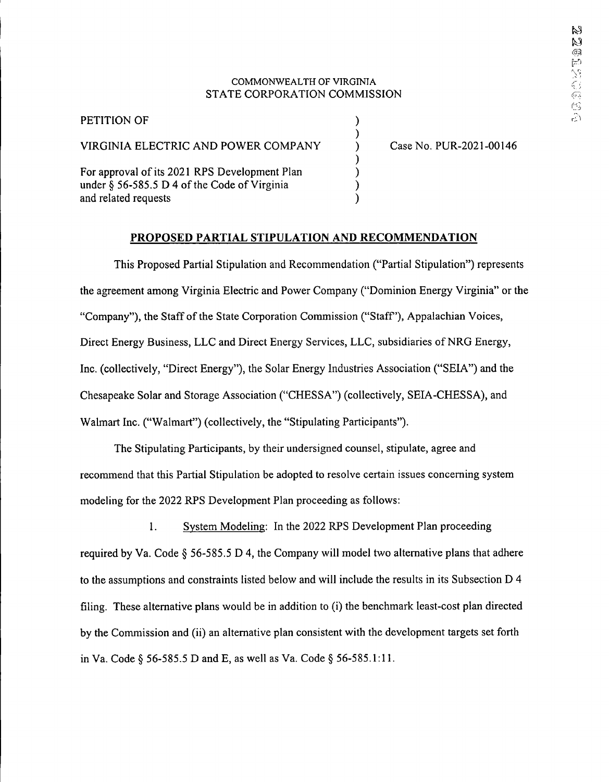### COMMONWEALTH OF VIRGINIA STATE CORPORATION COMMISSION

) ) ) ) ) )

| PETITION OF                                                                                                           |
|-----------------------------------------------------------------------------------------------------------------------|
| VIRGINIA ELECTRIC AND POWER COMPANY                                                                                   |
| For approval of its 2021 RPS Development Plan<br>under § 56-585.5 D 4 of the Code of Virginia<br>and related requests |

Case No. PUR-2021-00146

## **PROPOSED PARTIAL STIPULATION AND RECOMMENDATION**

This Proposed Partial Stipulation and Recommendation ("Partial Stipulation") represents the agreement among Virginia Electric and Power Company ("Dominion Energy Virginia" or the "Company"), the Staff ofthe State Corporation Commission ("Staff'), Appalachian Voices, Direct Energy Business, LLC and Direct Energy Services, LLC, subsidiaries of NRG Energy, Inc. (collectively, "Direct Energy"), the Solar Energy Industries Association ("SEIA") and the Chesapeake Solar and Storage Association ("CHESSA") (collectively, SEIA-CHESSA), and Walmart Inc. ("Walmart") (collectively, the "Stipulating Participants").

The Stipulating Participants, by their undersigned counsel, stipulate, agree and recommend that this Partial Stipulation be adopted to resolve certain issues concerning system modeling for the 2022 KPS Development Plan proceeding as follows:

1. System Modeling: In the 2022 RPS Development Plan proceeding required by Va. Code § 56-585.5 D 4, the Company will model two alternative plans that adhere to the assumptions and constraints listed below and will include the results in its Subsection D 4 filing. These alternative plans would be in addition to (i) the benchmark least-cost plan directed by the Commission and (ii) an alternative plan consistent with the development targets set forth in Va. Code § 56-585.5 D and E, as well as Va. Code § 56-585.1:11.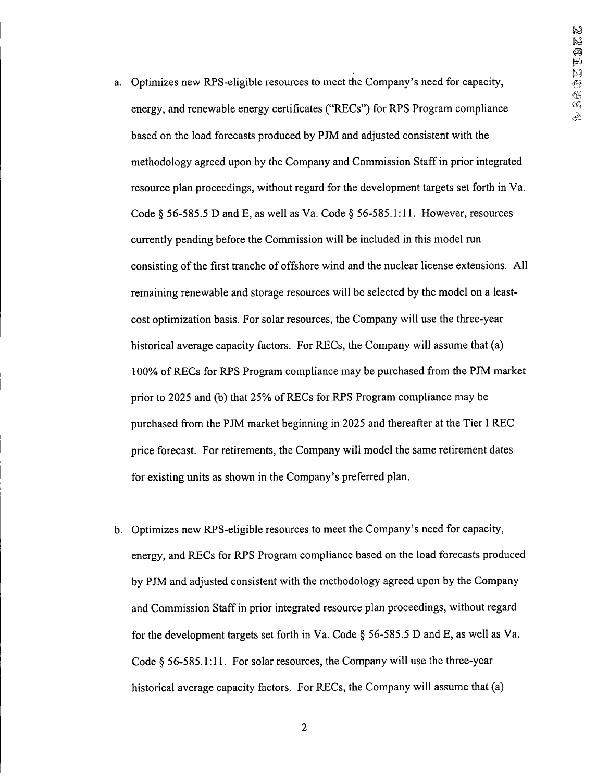- a. Optimizes new RPS-eligible resources to meet the Company's need for capacity, energy, and renewable energy certificates ("RECs") for RPS Program compliance based on the load forecasts produced by PJM and adjusted consistent with the methodology agreed upon by the Company and Commission Staffin prior integrated resource plan proceedings, without regard for the development targets set forth in Va. Code § 56-585.5 D and E, as well as Va. Code § 56-585.1:11. However, resources currently pending before the Commission will be included in this model run consisting of the first tranche of offshore wind and the nuclear license extensions. All remaining renewable and storage resources will be selected by the model on a leastcost optimization basis. For solar resources, the Company will use the three-year historical average capacity factors. For RECs, the Company will assume that (a) 100% ofRECs for RPS Program compliance may be purchased from the PJM market prior to 2025 and (b) that 25% of RECs for RPS Program compliance may be purchased from the PJM market beginning in 2025 and thereafter at the Tier <sup>1</sup> REC price forecast. For retirements, the Company will model the same retirement dates for existing units as shown in the Company's preferred plan.
- b. Optimizes new RPS-eligible resources to meet the Company's need for capacity, energy, and RECs for RPS Program compliance based on the load forecasts produced by PJM and adjusted consistent with the methodology agreed upon by the Company and Commission Staff in prior integrated resource plan proceedings, without regard for the development targets set forth in Va. Code § 56-585.5 D and E, as well as Va. Code § 56-585.1:11. For solar resources, the Company will use the three-year historical average capacity factors. For RECs, the Company will assume that (a)

2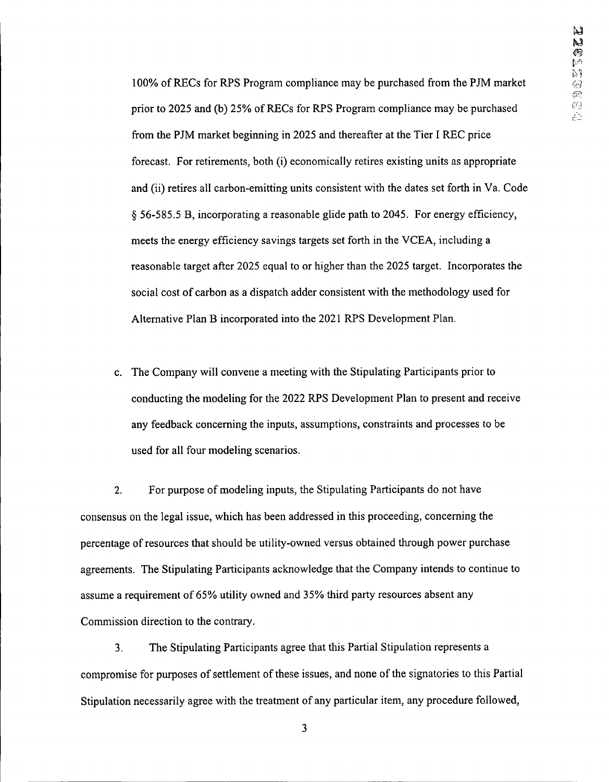100% ofRECs for RPS Program compliance may be purchased from the PJM market prior to 2025 and (b) 25% ofRECs for RPS Program compliance may be purchased from the PJM market beginning in 2025 and thereafter at the Tier I REC price forecast. For retirements, both (i) economically retires existing units as appropriate and (ii) retires all carbon-emitting units consistent with the dates set forth in Va. Code § 56-585.5 B, incorporating a reasonable glide path to 2045. For energy efficiency, meets the energy efficiency savings targets set forth in the VCEA, including a reasonable target after 2025 equal to or higher than the 2025 target. Incorporates the social cost of carbon as a dispatch adder consistent with the methodology used for Alternative Plan B incorporated into the 2021 RPS Development Plan.

c. The Company will convene a meeting with the Stipulating Participants prior to conducting the modeling for the 2022 RPS Development Plan to present and receive any feedback concerning the inputs, assumptions, constraints and processes to be used for all four modeling scenarios.

2. For purpose of modeling inputs, the Stipulating Participants do not have consensus on the legal issue, which has been addressed in this proceeding, concerning the percentage ofresources that should be utility-owned versus obtained through power purchase agreements. The Stipulating Participants acknowledge that the Company intends to continue to assume a requirement of 65% utility owned and 35% third party resources absent any Commission direction to the contrary.

3. The Stipulating Participants agree that this Partial Stipulation represents a compromise for purposes of settlement of these issues, and none of the signatories to this Partial Stipulation necessarily agree with the treatment of any particular item, any procedure followed,

3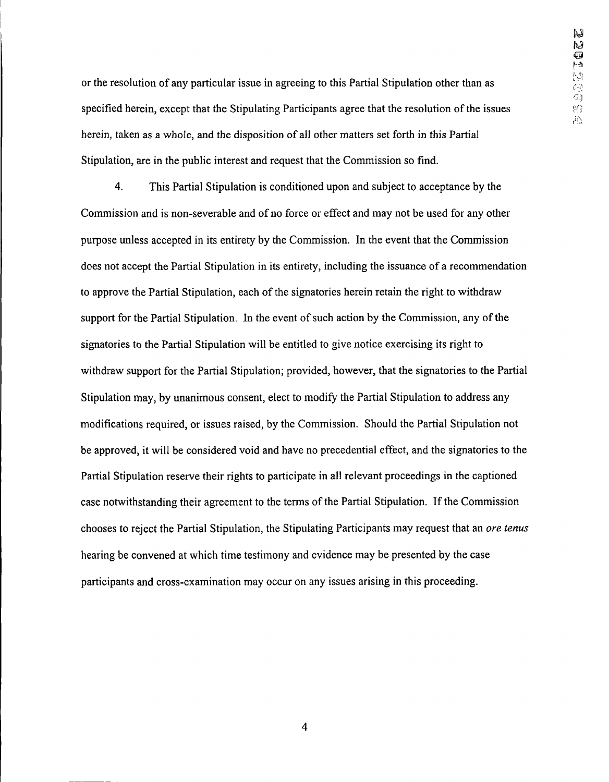or the resolution of any particular issue in agreeing to this Partial Stipulation other than as specified herein, except that the Stipulating Participants agree that the resolution of the issues herein, taken as a whole, and the disposition of all other matters set forth in this Partial Stipulation, are in the public interest and request that the Commission so find.

4. This Partial Stipulation is conditioned upon and subject to acceptance by the Commission and is non-severable and of no force or effect and may not be used for any other purpose unless accepted in its entirety by the Commission. In the event that the Commission does not accept the Partial Stipulation in its entirety, including the issuance of a recommendation to approve the Partial Stipulation, each of the signatories herein retain the right to withdraw support for the Partial Stipulation. In the event of such action by the Commission, any of the signatories to the Partial Stipulation will be entitled to give notice exercising its right to withdraw support for the Partial Stipulation; provided, however, that the signatories to the Partial Stipulation may, by unanimous consent, elect to modify the Partial Stipulation to address any modifications required, or issues raised, by the Commission. Should the Partial Stipulation not be approved, it will be considered void and have no precedential effect, and the signatories to the Partial Stipulation reserve their rights to participate in all relevant proceedings in the captioned case notwithstanding their agreement to the terms of the Partial Stipulation. If the Commission chooses to reject the Partial Stipulation, the Stipulating Participants may request that an *ore tenus* hearing be convened at which time testimony and evidence may be presented by the case participants and cross-examination may occur on any issues arising in this proceeding.

4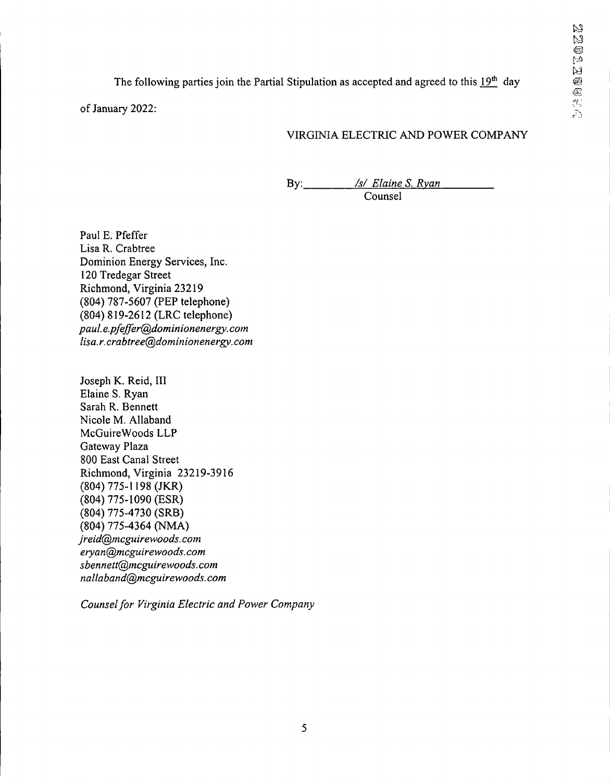The following parties join the Partial Stipulation as accepted and agreed to this 19th day

of January 2022:

# VIRGINIA ELECTRIC AND POWER COMPANY

By: */s/ Elaine S. Ryan* Counsel

Paul E. Pfeffer Lisa R. Crabtree Dominion Energy Services, Inc. 120 Tredegar Street Richmond, Virginia 23219 (804) 787-5607 (PEP telephone) (804) 819-2612 (LRC telephone) *paul.e.pfeffer@dominionenergy. com lisa.r. crabtree@dominionenergy. com*

Joseph K. Reid, III Elaine S. Ryan Sarah R. Bennett Nicole M. Allaband McGuireWoods LLP Gateway Plaza 800 East Canal Street Richmond, Virginia 23219-3916 (804) 775-1198 (JKR) (804) 775-1090 (ESR) (804) 775-4730 (SRB) (804) 775-4364 (NMA) *jreid@mcguirewoods.com eryan@mcguirewoods.com sbennett@mcguirewoods.com nallaband@mcguirewoods.com*

*Counselfor Virginia Electric and Power Company*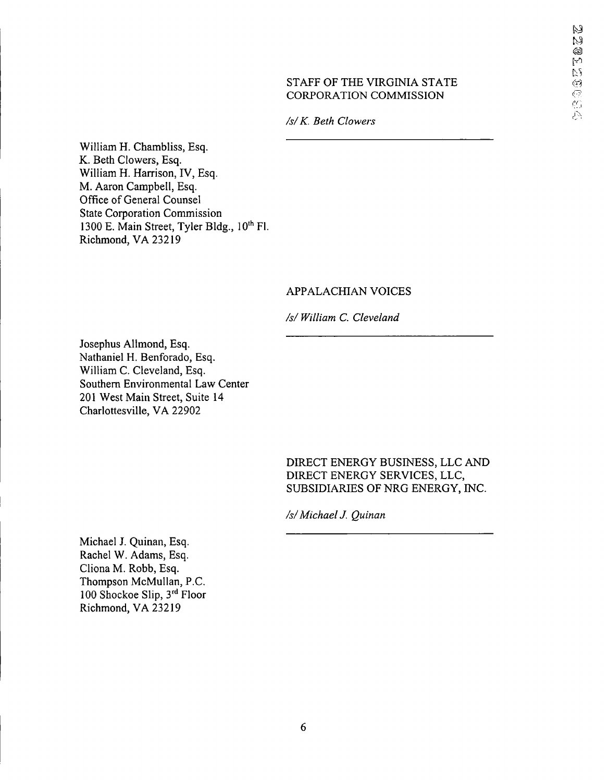## STAFF OF THE VIRGINIA STATE CORPORATION COMMISSION

*/s/K. Beth Glowers*

William H. Chambliss, Esq. K. Beth Glowers, Esq. William H. Harrison, IV, Esq. M. Aaron Campbell, Esq. Office of General Counsel State Corporation Commission 1300 E. Main Street, Tyler Bldg., 10<sup>th</sup> Fl. Richmond, VA 23219

# APPALACHIAN VOICES

*/s/ William C. Cleveland*

Josephus Allmond, Esq. Nathaniel H. Benforado, Esq. William C. Cleveland, Esq. Southern Environmental Law Center 201 West Main Street, Suite 14 Charlottesville, VA 22902

> DIRECT ENERGY BUSINESS, LLC AND DIRECT ENERGY SERVICES, LLC, SUBSIDIARIES OF NRG ENERGY, INC.

*/s/Michael J. Quinan*

Michael J. Quinan, Esq. Rachel W. Adams, Esq. Cliona M. Robb, Esq. Thompson McMullan, P.C. 100 Shockoe Slip, 3rd Floor Richmond, VA 23219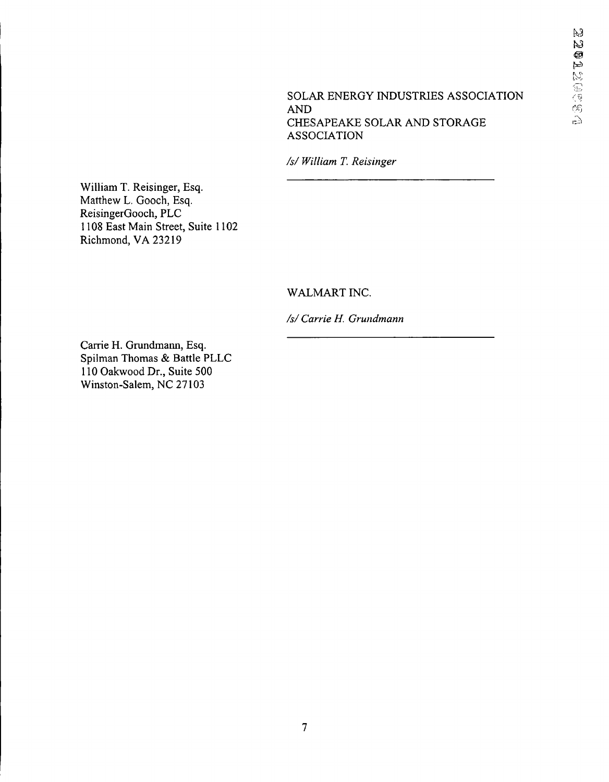SOLAR ENERGY INDUSTRIES ASSOCIATION AND CHESAPEAKE SOLAR AND STORAGE ASSOCIATION

*/s/ William T. Reisinger*

William T. Reisinger, Esq. Matthew L. Gooch, Esq. ReisingerGooch, PLC 1108 East Main Street, Suite 1102 Richmond, VA 23219

# WALMART INC.

*/s/ Carrie H. Grundmann*

Carrie H. Grundmann, Esq. Spilman Thomas & Battle PLLC 110 Oakwood Dr., Suite 500 Winston-Salem, NC 27103